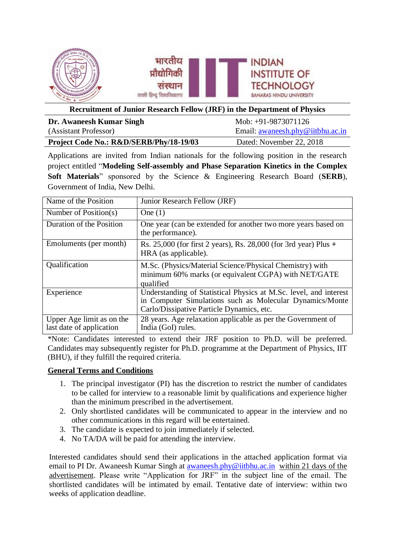

#### **Recruitment of Junior Research Fellow (JRF) in the Department of Physics**

| Dr. Awaneesh Kumar Singh                | Mob: $+91-9873071126$            |
|-----------------------------------------|----------------------------------|
| (Assistant Professor)                   | Email: awaneesh.phy@iitbhu.ac.in |
| Project Code No.: R&D/SERB/Phy/18-19/03 | Dated: November 22, 2018         |

Applications are invited from Indian nationals for the following position in the research project entitled "**Modeling Self-assembly and Phase Separation Kinetics in the Complex Soft Materials**" sponsored by the Science & Engineering Research Board (**SERB**), Government of India, New Delhi.

| Name of the Position                                  | Junior Research Fellow (JRF)                                                                                                                                               |
|-------------------------------------------------------|----------------------------------------------------------------------------------------------------------------------------------------------------------------------------|
| Number of Position(s)                                 | One $(1)$                                                                                                                                                                  |
| Duration of the Position                              | One year (can be extended for another two more years based on<br>the performance).                                                                                         |
| Emoluments (per month)                                | Rs. 25,000 (for first 2 years), Rs. 28,000 (for 3rd year) Plus +<br>HRA (as applicable).                                                                                   |
| Qualification                                         | M.Sc. (Physics/Material Science/Physical Chemistry) with<br>minimum 60% marks (or equivalent CGPA) with NET/GATE<br>qualified                                              |
| Experience                                            | Understanding of Statistical Physics at M.Sc. level, and interest<br>in Computer Simulations such as Molecular Dynamics/Monte<br>Carlo/Dissipative Particle Dynamics, etc. |
| Upper Age limit as on the<br>last date of application | 28 years. Age relaxation applicable as per the Government of<br>India (GoI) rules.                                                                                         |

\*Note: Candidates interested to extend their JRF position to Ph.D. will be preferred. Candidates may subsequently register for Ph.D. programme at the Department of Physics, IIT (BHU), if they fulfill the required criteria.

### **General Terms and Conditions**

- 1. The principal investigator (PI) has the discretion to restrict the number of candidates to be called for interview to a reasonable limit by qualifications and experience higher than the minimum prescribed in the advertisement.
- 2. Only shortlisted candidates will be communicated to appear in the interview and no other communications in this regard will be entertained.
- 3. The candidate is expected to join immediately if selected.
- 4. No TA/DA will be paid for attending the interview.

Interested candidates should send their applications in the attached application format via email to PI Dr. Awaneesh Kumar Singh at **awaneesh.phy@iitbhu.ac.in** within 21 days of the advertisement. Please write "Application for JRF" in the subject line of the email. The shortlisted candidates will be intimated by email. Tentative date of interview: within two weeks of application deadline.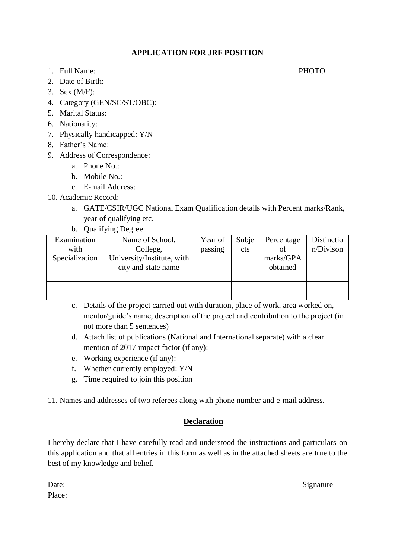### **APPLICATION FOR JRF POSITION**

- 1. Full Name: PHOTO
- 2. Date of Birth:
- 3. Sex (M/F):
- 4. Category (GEN/SC/ST/OBC):
- 5. Marital Status:
- 6. Nationality:
- 7. Physically handicapped: Y/N
- 8. Father's Name:
- 9. Address of Correspondence:
	- a. Phone No.:
	- b. Mobile No.:
	- c. E-mail Address:
- 10. Academic Record:
	- a. GATE/CSIR/UGC National Exam Qualification details with Percent marks/Rank, year of qualifying etc.
	- b. Qualifying Degree:

| Examination    | Name of School,            | Year of | Subje | Percentage | Distinctio |
|----------------|----------------------------|---------|-------|------------|------------|
| with           | College,                   | passing | cts   | of         | n/Divison  |
| Specialization | University/Institute, with |         |       | marks/GPA  |            |
|                | city and state name        |         |       | obtained   |            |
|                |                            |         |       |            |            |
|                |                            |         |       |            |            |
|                |                            |         |       |            |            |

- c. Details of the project carried out with duration, place of work, area worked on, mentor/guide's name, description of the project and contribution to the project (in not more than 5 sentences)
- d. Attach list of publications (National and International separate) with a clear mention of 2017 impact factor (if any):
- e. Working experience (if any):
- f. Whether currently employed: Y/N
- g. Time required to join this position

11. Names and addresses of two referees along with phone number and e-mail address.

# **Declaration**

I hereby declare that I have carefully read and understood the instructions and particulars on this application and that all entries in this form as well as in the attached sheets are true to the best of my knowledge and belief.

Place:

Date: Signature